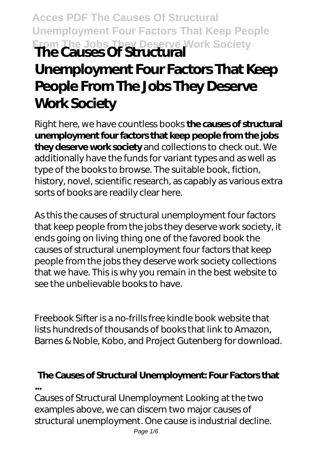**Acces PDF The Causes Of Structural Unemployment Four Factors That Keep People From The Jobs They Deserve Work Society The Causes Of Structural**

## **Unemployment Four Factors That Keep People From The Jobs They Deserve Work Society**

Right here, we have countless books **the causes of structural unemployment four factors that keep people from the jobs they deserve work society** and collections to check out. We additionally have the funds for variant types and as well as type of the books to browse. The suitable book, fiction, history, novel, scientific research, as capably as various extra sorts of books are readily clear here.

As this the causes of structural unemployment four factors that keep people from the jobs they deserve work society, it ends going on living thing one of the favored book the causes of structural unemployment four factors that keep people from the jobs they deserve work society collections that we have. This is why you remain in the best website to see the unbelievable books to have.

Freebook Sifter is a no-frills free kindle book website that lists hundreds of thousands of books that link to Amazon, Barnes & Noble, Kobo, and Project Gutenberg for download.

# **The Causes of Structural Unemployment: Four Factors that**

**...**

Causes of Structural Unemployment Looking at the two examples above, we can discern two major causes of structural unemployment. One cause is industrial decline.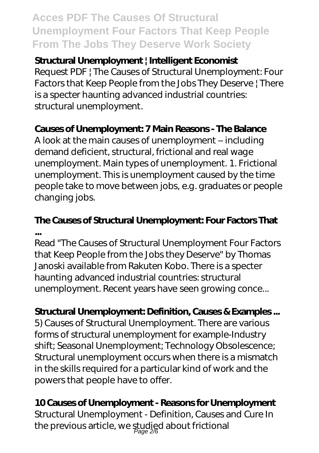## **Acces PDF The Causes Of Structural Unemployment Four Factors That Keep People From The Jobs They Deserve Work Society**

#### **Structural Unemployment | Intelligent Economist**

Request PDF | The Causes of Structural Unemployment: Four Factors that Keep People from the Jobs They Deserve | There is a specter haunting advanced industrial countries: structural unemployment.

### **Causes of Unemployment: 7 Main Reasons - The Balance**

A look at the main causes of unemployment – including demand deficient, structural, frictional and real wage unemployment. Main types of unemployment. 1. Frictional unemployment. This is unemployment caused by the time people take to move between jobs, e.g. graduates or people changing jobs.

## **The Causes of Structural Unemployment: Four Factors That ...**

Read "The Causes of Structural Unemployment Four Factors that Keep People from the Jobs they Deserve" by Thomas Janoski available from Rakuten Kobo. There is a specter haunting advanced industrial countries: structural unemployment. Recent years have seen growing conce...

### **Structural Unemployment: Definition, Causes & Examples ...**

5) Causes of Structural Unemployment. There are various forms of structural unemployment for example-Industry shift; Seasonal Unemployment; Technology Obsolescence; Structural unemployment occurs when there is a mismatch in the skills required for a particular kind of work and the powers that people have to offer.

#### **10 Causes of Unemployment - Reasons for Unemployment**

Structural Unemployment - Definition, Causes and Cure In the previous article, we studied about frictional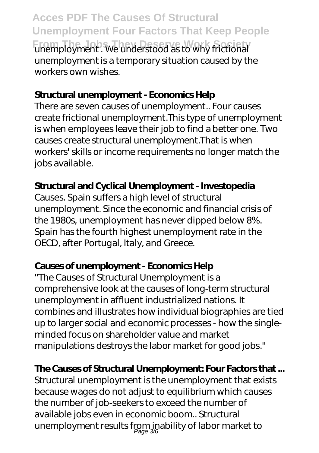**Acces PDF The Causes Of Structural Unemployment Four Factors That Keep People From The Jobs They Deserve Work Society** unemployment . We understood as to why frictional unemployment is a temporary situation caused by the workers own wishes.

#### **Structural unemployment - Economics Help**

There are seven causes of unemployment.. Four causes create frictional unemployment.This type of unemployment is when employees leave their job to find a better one. Two causes create structural unemployment.That is when workers' skills or income requirements no longer match the jobs available.

## **Structural and Cyclical Unemployment - Investopedia**

Causes. Spain suffers a high level of structural unemployment. Since the economic and financial crisis of the 1980s, unemployment has never dipped below 8%. Spain has the fourth highest unemployment rate in the OECD, after Portugal, Italy, and Greece.

## **Causes of unemployment - Economics Help**

''The Causes of Structural Unemployment is a comprehensive look at the causes of long-term structural unemployment in affluent industrialized nations. It combines and illustrates how individual biographies are tied up to larger social and economic processes - how the singleminded focus on shareholder value and market manipulations destroys the labor market for good jobs.''

## **The Causes of Structural Unemployment: Four Factors that ...**

Structural unemployment is the unemployment that exists because wages do not adjust to equilibrium which causes the number of job-seekers to exceed the number of available jobs even in economic boom.. Structural unemployment results from inability of labor market to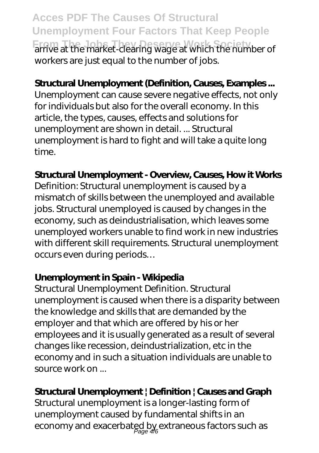**Acces PDF The Causes Of Structural Unemployment Four Factors That Keep People From The Jobs They Deserve Work Society** arrive at the market-clearing wage at which the number of workers are just equal to the number of jobs.

#### **Structural Unemployment (Definition, Causes, Examples ...**

Unemployment can cause severe negative effects, not only for individuals but also for the overall economy. In this article, the types, causes, effects and solutions for unemployment are shown in detail. ... Structural unemployment is hard to fight and will take a quite long time.

#### **Structural Unemployment - Overview, Causes, How it Works**

Definition: Structural unemployment is caused by a mismatch of skills between the unemployed and available jobs. Structural unemployed is caused by changes in the economy, such as deindustrialisation, which leaves some unemployed workers unable to find work in new industries with different skill requirements. Structural unemployment occurs even during periods…

#### **Unemployment in Spain - Wikipedia**

Structural Unemployment Definition. Structural unemployment is caused when there is a disparity between the knowledge and skills that are demanded by the employer and that which are offered by his or her employees and it is usually generated as a result of several changes like recession, deindustrialization, etc in the economy and in such a situation individuals are unable to source work on ...

### **Structural Unemployment | Definition | Causes and Graph**

Structural unemployment is a longer-lasting form of unemployment caused by fundamental shifts in an economy and exacerbated by extraneous factors such as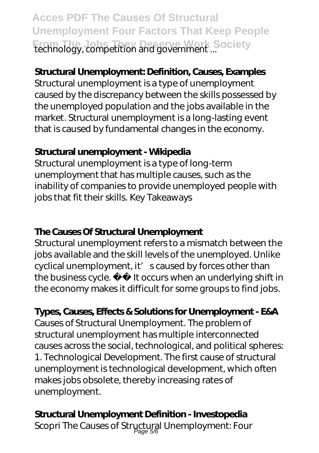**Acces PDF The Causes Of Structural Unemployment Four Factors That Keep People From The Jobs They Deserve Work Society** technology, competition and government ...

## **Structural Unemployment: Definition, Causes, Examples**

Structural unemployment is a type of unemployment caused by the discrepancy between the skills possessed by the unemployed population and the jobs available in the market. Structural unemployment is a long-lasting event that is caused by fundamental changes in the economy.

### **Structural unemployment - Wikipedia**

Structural unemployment is a type of long-term unemployment that has multiple causes, such as the inability of companies to provide unemployed people with jobs that fit their skills. Key Takeaways

### **The Causes Of Structural Unemployment**

Structural unemployment refers to a mismatch between the jobs available and the skill levels of the unemployed. Unlike cyclical unemployment, it' scaused by forces other than the business cycle. It occurs when an underlying shift in the economy makes it difficult for some groups to find jobs.

## **Types, Causes, Effects & Solutions for Unemployment - E&A**

Causes of Structural Unemployment. The problem of structural unemployment has multiple interconnected causes across the social, technological, and political spheres: 1. Technological Development. The first cause of structural unemployment is technological development, which often makes jobs obsolete, thereby increasing rates of unemployment.

## **Structural Unemployment Definition - Investopedia**

Scopri The Causes of Stryctural Unemployment: Four